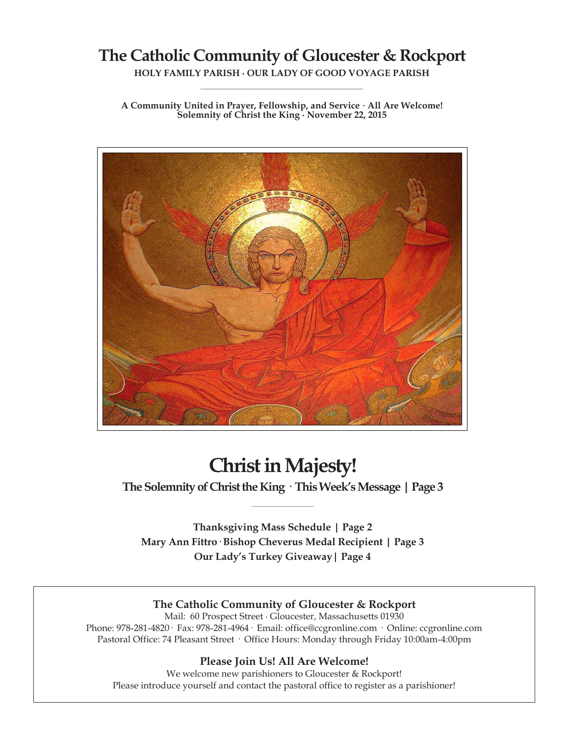## **The Catholic Community of Gloucester & Rockport**

**HOLY FAMILY PARISH ∙ OUR LADY OF GOOD VOYAGE PARISH \_\_\_\_\_\_\_\_\_\_\_\_\_\_\_\_\_\_\_\_\_\_\_\_\_\_\_\_\_\_\_\_\_\_\_\_\_\_\_\_\_\_\_\_\_\_\_\_\_\_**

**A Community United in Prayer, Fellowship, and Service ∙ All Are Welcome! Solemnity of Christ the King ∙ November 22, 2015**



# **Christ in Majesty!**

**The Solemnity of Christ the King · This Week's Message | Page 3 \_\_\_\_\_\_\_\_\_\_\_\_\_\_\_\_\_\_\_\_\_\_\_\_**

**Thanksgiving Mass Schedule | Page 2 Mary Ann Fittro· Bishop Cheverus Medal Recipient | Page 3 Our Lady's Turkey Giveaway| Page 4**

## **The Catholic Community of Gloucester & Rockport**

Mail: 60 Prospect Street ∙ Gloucester, Massachusetts 01930 Phone: 978-281-4820· Fax: 978-281-4964· Email: office@ccgronline.com · Online: ccgronline.com Pastoral Office: 74 Pleasant Street · Office Hours: Monday through Friday 10:00am-4:00pm

#### **Please Join Us! All Are Welcome!**

We welcome new parishioners to Gloucester & Rockport! Please introduce yourself and contact the pastoral office to register as a parishioner!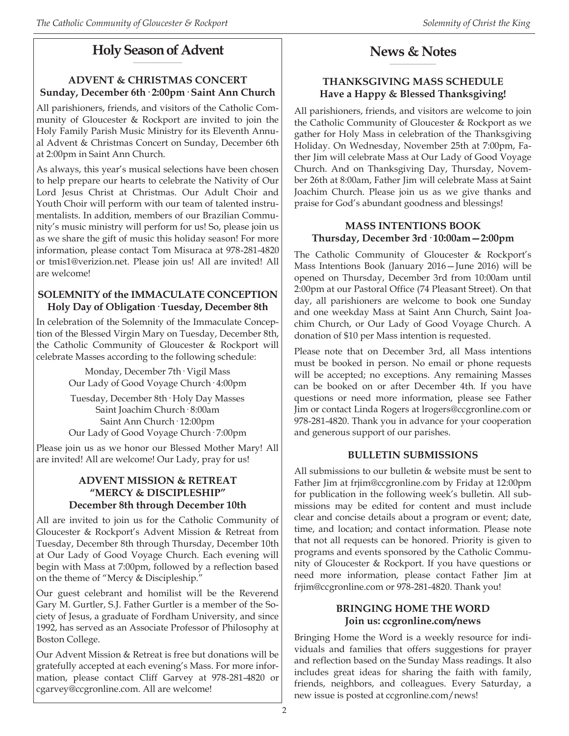#### **Holy Season of Advent \_\_\_\_\_\_\_\_\_\_\_\_\_\_\_\_\_\_\_\_\_**

## **ADVENT & CHRISTMAS CONCERT Sunday, December 6th· 2:00pm· Saint Ann Church**

All parishioners, friends, and visitors of the Catholic Community of Gloucester & Rockport are invited to join the Holy Family Parish Music Ministry for its Eleventh Annual Advent & Christmas Concert on Sunday, December 6th at 2:00pm in Saint Ann Church.

As always, this year's musical selections have been chosen to help prepare our hearts to celebrate the Nativity of Our Lord Jesus Christ at Christmas. Our Adult Choir and Youth Choir will perform with our team of talented instrumentalists. In addition, members of our Brazilian Community's music ministry will perform for us! So, please join us as we share the gift of music this holiday season! For more information, please contact Tom Misuraca at 978-281-4820 or tmis1@verizion.net. Please join us! All are invited! All are welcome!

## **SOLEMNITY of the IMMACULATE CONCEPTION Holy Day of Obligation· Tuesday, December 8th**

In celebration of the Solemnity of the Immaculate Conception of the Blessed Virgin Mary on Tuesday, December 8th, the Catholic Community of Gloucester & Rockport will celebrate Masses according to the following schedule:

> Monday, December 7th· Vigil Mass Our Lady of Good Voyage Church· 4:00pm

> Tuesday, December 8th· Holy Day Masses Saint Joachim Church· 8:00am Saint Ann Church· 12:00pm Our Lady of Good Voyage Church· 7:00pm

Please join us as we honor our Blessed Mother Mary! All are invited! All are welcome! Our Lady, pray for us!

#### **ADVENT MISSION & RETREAT "MERCY & DISCIPLESHIP" December 8th through December 10th**

All are invited to join us for the Catholic Community of Gloucester & Rockport's Advent Mission & Retreat from Tuesday, December 8th through Thursday, December 10th at Our Lady of Good Voyage Church. Each evening will begin with Mass at 7:00pm, followed by a reflection based on the theme of "Mercy & Discipleship."

Our guest celebrant and homilist will be the Reverend Gary M. Gurtler, S.J. Father Gurtler is a member of the Society of Jesus, a graduate of Fordham University, and since 1992, has served as an Associate Professor of Philosophy at Boston College.

Our Advent Mission & Retreat is free but donations will be gratefully accepted at each evening's Mass. For more information, please contact Cliff Garvey at 978-281-4820 or cgarvey@ccgronline.com. All are welcome!

#### **News & Notes \_\_\_\_\_\_\_\_\_\_\_\_\_\_\_\_\_\_\_\_**

## **THANKSGIVING MASS SCHEDULE Have a Happy & Blessed Thanksgiving!**

All parishioners, friends, and visitors are welcome to join the Catholic Community of Gloucester & Rockport as we gather for Holy Mass in celebration of the Thanksgiving Holiday. On Wednesday, November 25th at 7:00pm, Father Jim will celebrate Mass at Our Lady of Good Voyage Church. And on Thanksgiving Day, Thursday, November 26th at 8:00am, Father Jim will celebrate Mass at Saint Joachim Church. Please join us as we give thanks and praise for God's abundant goodness and blessings!

#### **MASS INTENTIONS BOOK Thursday, December 3rd· 10:00am—2:00pm**

The Catholic Community of Gloucester & Rockport's Mass Intentions Book (January 2016—June 2016) will be opened on Thursday, December 3rd from 10:00am until 2:00pm at our Pastoral Office (74 Pleasant Street). On that day, all parishioners are welcome to book one Sunday and one weekday Mass at Saint Ann Church, Saint Joachim Church, or Our Lady of Good Voyage Church. A donation of \$10 per Mass intention is requested.

Please note that on December 3rd, all Mass intentions must be booked in person. No email or phone requests will be accepted; no exceptions. Any remaining Masses can be booked on or after December 4th. If you have questions or need more information, please see Father Jim or contact Linda Rogers at lrogers@ccgronline.com or 978-281-4820. Thank you in advance for your cooperation and generous support of our parishes.

## **BULLETIN SUBMISSIONS**

All submissions to our bulletin & website must be sent to Father Jim at frjim@ccgronline.com by Friday at 12:00pm for publication in the following week's bulletin. All submissions may be edited for content and must include clear and concise details about a program or event; date, time, and location; and contact information. Please note that not all requests can be honored. Priority is given to programs and events sponsored by the Catholic Community of Gloucester & Rockport. If you have questions or need more information, please contact Father Jim at frjim@ccgronline.com or 978-281-4820. Thank you!

#### **BRINGING HOME THE WORD Join us: ccgronline.com/news**

Bringing Home the Word is a weekly resource for individuals and families that offers suggestions for prayer and reflection based on the Sunday Mass readings. It also includes great ideas for sharing the faith with family, friends, neighbors, and colleagues. Every Saturday, a new issue is posted at ccgronline.com/news!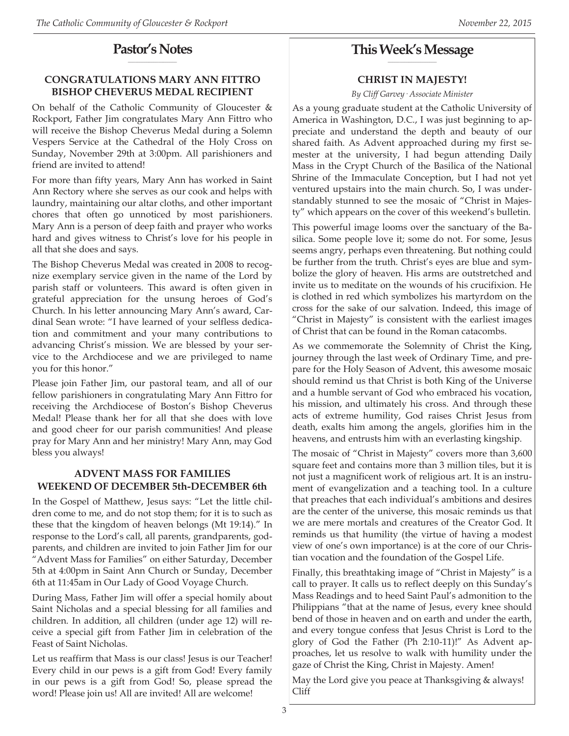#### **Pastor's Notes \_\_\_\_\_\_\_\_\_\_\_\_\_\_\_\_\_\_\_\_\_**

## **CONGRATULATIONS MARY ANN FITTRO BISHOP CHEVERUS MEDAL RECIPIENT**

On behalf of the Catholic Community of Gloucester & Rockport, Father Jim congratulates Mary Ann Fittro who will receive the Bishop Cheverus Medal during a Solemn Vespers Service at the Cathedral of the Holy Cross on Sunday, November 29th at 3:00pm. All parishioners and friend are invited to attend!

For more than fifty years, Mary Ann has worked in Saint Ann Rectory where she serves as our cook and helps with laundry, maintaining our altar cloths, and other important chores that often go unnoticed by most parishioners. Mary Ann is a person of deep faith and prayer who works hard and gives witness to Christ's love for his people in all that she does and says.

The Bishop Cheverus Medal was created in 2008 to recognize exemplary service given in the name of the Lord by parish staff or volunteers. This award is often given in grateful appreciation for the unsung heroes of God's Church. In his letter announcing Mary Ann's award, Cardinal Sean wrote: "I have learned of your selfless dedication and commitment and your many contributions to advancing Christ's mission. We are blessed by your service to the Archdiocese and we are privileged to name you for this honor."

Please join Father Jim, our pastoral team, and all of our fellow parishioners in congratulating Mary Ann Fittro for receiving the Archdiocese of Boston's Bishop Cheverus Medal! Please thank her for all that she does with love and good cheer for our parish communities! And please pray for Mary Ann and her ministry! Mary Ann, may God bless you always!

### **ADVENT MASS FOR FAMILIES WEEKEND OF DECEMBER 5th-DECEMBER 6th**

In the Gospel of Matthew, Jesus says: "Let the little children come to me, and do not stop them; for it is to such as these that the kingdom of heaven belongs (Mt 19:14)." In response to the Lord's call, all parents, grandparents, godparents, and children are invited to join Father Jim for our "Advent Mass for Families" on either Saturday, December 5th at 4:00pm in Saint Ann Church or Sunday, December 6th at 11:45am in Our Lady of Good Voyage Church.

During Mass, Father Jim will offer a special homily about Saint Nicholas and a special blessing for all families and children. In addition, all children (under age 12) will receive a special gift from Father Jim in celebration of the Feast of Saint Nicholas.

Let us reaffirm that Mass is our class! Jesus is our Teacher! Every child in our pews is a gift from God! Every family in our pews is a gift from God! So, please spread the word! Please join us! All are invited! All are welcome!

#### **This Week's Message \_\_\_\_\_\_\_\_\_\_\_\_\_\_\_\_\_\_\_\_\_**

## **CHRIST IN MAJESTY!**

*By Cliff Garvey· Associate Minister*

As a young graduate student at the Catholic University of America in Washington, D.C., I was just beginning to appreciate and understand the depth and beauty of our shared faith. As Advent approached during my first semester at the university, I had begun attending Daily Mass in the Crypt Church of the Basilica of the National Shrine of the Immaculate Conception, but I had not yet ventured upstairs into the main church. So, I was understandably stunned to see the mosaic of "Christ in Majesty" which appears on the cover of this weekend's bulletin.

This powerful image looms over the sanctuary of the Basilica. Some people love it; some do not. For some, Jesus seems angry, perhaps even threatening. But nothing could be further from the truth. Christ's eyes are blue and symbolize the glory of heaven. His arms are outstretched and invite us to meditate on the wounds of his crucifixion. He is clothed in red which symbolizes his martyrdom on the cross for the sake of our salvation. Indeed, this image of "Christ in Majesty" is consistent with the earliest images of Christ that can be found in the Roman catacombs.

As we commemorate the Solemnity of Christ the King, journey through the last week of Ordinary Time, and prepare for the Holy Season of Advent, this awesome mosaic should remind us that Christ is both King of the Universe and a humble servant of God who embraced his vocation, his mission, and ultimately his cross. And through these acts of extreme humility, God raises Christ Jesus from death, exalts him among the angels, glorifies him in the heavens, and entrusts him with an everlasting kingship.

The mosaic of "Christ in Majesty" covers more than 3,600 square feet and contains more than 3 million tiles, but it is not just a magnificent work of religious art. It is an instrument of evangelization and a teaching tool. In a culture that preaches that each individual's ambitions and desires are the center of the universe, this mosaic reminds us that we are mere mortals and creatures of the Creator God. It reminds us that humility (the virtue of having a modest view of one's own importance) is at the core of our Christian vocation and the foundation of the Gospel Life.

Finally, this breathtaking image of "Christ in Majesty" is a call to prayer. It calls us to reflect deeply on this Sunday's Mass Readings and to heed Saint Paul's admonition to the Philippians "that at the name of Jesus, every knee should bend of those in heaven and on earth and under the earth, and every tongue confess that Jesus Christ is Lord to the glory of God the Father (Ph 2:10-11)!" As Advent approaches, let us resolve to walk with humility under the gaze of Christ the King, Christ in Majesty. Amen!

May the Lord give you peace at Thanksgiving & always! Cliff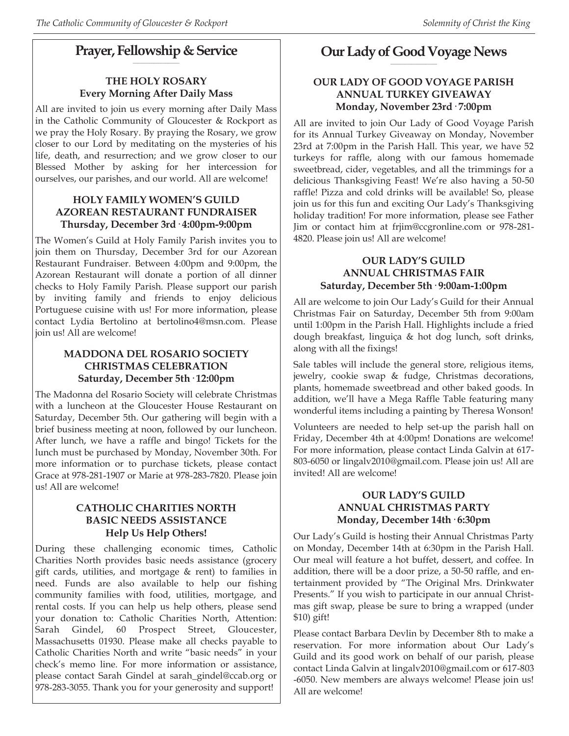#### **Prayer, Fellowship & Service \_\_\_\_\_\_\_\_\_\_\_\_\_\_\_\_\_\_\_\_**

## **THE HOLY ROSARY Every Morning After Daily Mass**

All are invited to join us every morning after Daily Mass in the Catholic Community of Gloucester & Rockport as we pray the Holy Rosary. By praying the Rosary, we grow closer to our Lord by meditating on the mysteries of his life, death, and resurrection; and we grow closer to our Blessed Mother by asking for her intercession for ourselves, our parishes, and our world. All are welcome!

#### **HOLY FAMILY WOMEN'S GUILD AZOREAN RESTAURANT FUNDRAISER Thursday, December 3rd· 4:00pm-9:00pm**

The Women's Guild at Holy Family Parish invites you to join them on Thursday, December 3rd for our Azorean Restaurant Fundraiser. Between 4:00pm and 9:00pm, the Azorean Restaurant will donate a portion of all dinner checks to Holy Family Parish. Please support our parish by inviting family and friends to enjoy delicious Portuguese cuisine with us! For more information, please contact Lydia Bertolino at bertolino4@msn.com. Please join us! All are welcome!

## **MADDONA DEL ROSARIO SOCIETY CHRISTMAS CELEBRATION Saturday, December 5th· 12:00pm**

The Madonna del Rosario Society will celebrate Christmas with a luncheon at the Gloucester House Restaurant on Saturday, December 5th. Our gathering will begin with a brief business meeting at noon, followed by our luncheon. After lunch, we have a raffle and bingo! Tickets for the lunch must be purchased by Monday, November 30th. For more information or to purchase tickets, please contact Grace at 978-281-1907 or Marie at 978-283-7820. Please join us! All are welcome!

#### **CATHOLIC CHARITIES NORTH BASIC NEEDS ASSISTANCE Help Us Help Others!**

During these challenging economic times, Catholic Charities North provides basic needs assistance (grocery gift cards, utilities, and mortgage & rent) to families in need. Funds are also available to help our fishing community families with food, utilities, mortgage, and rental costs. If you can help us help others, please send your donation to: Catholic Charities North, Attention: Sarah Gindel, 60 Prospect Street, Gloucester, Massachusetts 01930. Please make all checks payable to Catholic Charities North and write "basic needs" in your check's memo line. For more information or assistance, please contact Sarah Gindel at sarah\_gindel@ccab.org or 978-283-3055. Thank you for your generosity and support!

#### **Our Lady of Good Voyage News \_\_\_\_\_\_\_\_\_\_\_\_\_\_\_\_\_\_\_\_**

#### **OUR LADY OF GOOD VOYAGE PARISH ANNUAL TURKEY GIVEAWAY Monday, November 23rd· 7:00pm**

All are invited to join Our Lady of Good Voyage Parish for its Annual Turkey Giveaway on Monday, November 23rd at 7:00pm in the Parish Hall. This year, we have 52 turkeys for raffle, along with our famous homemade sweetbread, cider, vegetables, and all the trimmings for a delicious Thanksgiving Feast! We're also having a 50-50 raffle! Pizza and cold drinks will be available! So, please join us for this fun and exciting Our Lady's Thanksgiving holiday tradition! For more information, please see Father Jim or contact him at frjim@ccgronline.com or 978-281- 4820. Please join us! All are welcome!

#### **OUR LADY'S GUILD ANNUAL CHRISTMAS FAIR Saturday, December 5th· 9:00am-1:00pm**

All are welcome to join Our Lady's Guild for their Annual Christmas Fair on Saturday, December 5th from 9:00am until 1:00pm in the Parish Hall. Highlights include a fried dough breakfast, linguiça & hot dog lunch, soft drinks, along with all the fixings!

Sale tables will include the general store, religious items, jewelry, cookie swap & fudge, Christmas decorations, plants, homemade sweetbread and other baked goods. In addition, we'll have a Mega Raffle Table featuring many wonderful items including a painting by Theresa Wonson!

Volunteers are needed to help set-up the parish hall on Friday, December 4th at 4:00pm! Donations are welcome! For more information, please contact Linda Galvin at 617- 803-6050 or lingalv2010@gmail.com. Please join us! All are invited! All are welcome!

#### **OUR LADY'S GUILD ANNUAL CHRISTMAS PARTY Monday, December 14th· 6:30pm**

Our Lady's Guild is hosting their Annual Christmas Party on Monday, December 14th at 6:30pm in the Parish Hall. Our meal will feature a hot buffet, dessert, and coffee. In addition, there will be a door prize, a 50-50 raffle, and entertainment provided by "The Original Mrs. Drinkwater Presents." If you wish to participate in our annual Christmas gift swap, please be sure to bring a wrapped (under \$10) gift!

Please contact Barbara Devlin by December 8th to make a reservation. For more information about Our Lady's Guild and its good work on behalf of our parish, please contact Linda Galvin at lingalv2010@gmail.com or 617-803 -6050. New members are always welcome! Please join us! All are welcome!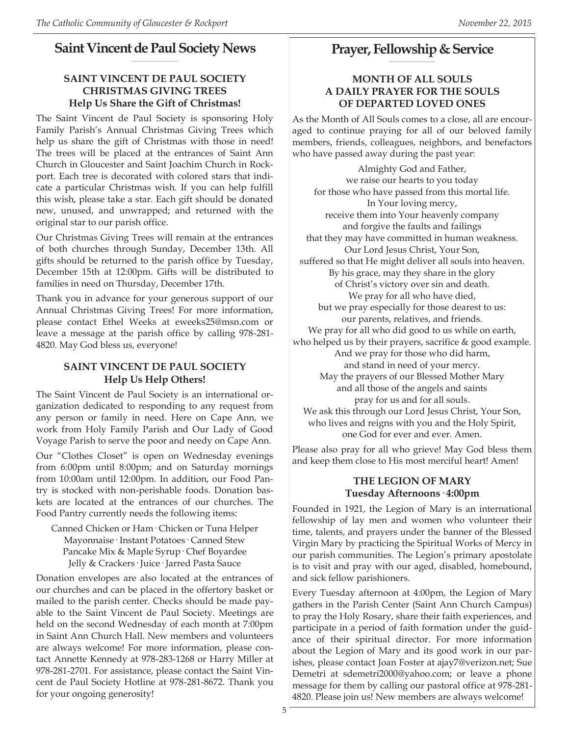#### **Saint Vincent de Paul Society News \_\_\_\_\_\_\_\_\_\_\_\_\_\_\_\_\_\_\_\_**

## **SAINT VINCENT DE PAUL SOCIETY CHRISTMAS GIVING TREES Help Us Share the Gift of Christmas!**

The Saint Vincent de Paul Society is sponsoring Holy Family Parish's Annual Christmas Giving Trees which help us share the gift of Christmas with those in need! The trees will be placed at the entrances of Saint Ann Church in Gloucester and Saint Joachim Church in Rockport. Each tree is decorated with colored stars that indicate a particular Christmas wish. If you can help fulfill this wish, please take a star. Each gift should be donated new, unused, and unwrapped; and returned with the original star to our parish office.

Our Christmas Giving Trees will remain at the entrances of both churches through Sunday, December 13th. All gifts should be returned to the parish office by Tuesday, December 15th at 12:00pm. Gifts will be distributed to families in need on Thursday, December 17th.

Thank you in advance for your generous support of our Annual Christmas Giving Trees! For more information, please contact Ethel Weeks at eweeks25@msn.com or leave a message at the parish office by calling 978-281- 4820. May God bless us, everyone!

### **SAINT VINCENT DE PAUL SOCIETY Help Us Help Others!**

The Saint Vincent de Paul Society is an international organization dedicated to responding to any request from any person or family in need. Here on Cape Ann, we work from Holy Family Parish and Our Lady of Good Voyage Parish to serve the poor and needy on Cape Ann.

Our "Clothes Closet" is open on Wednesday evenings from 6:00pm until 8:00pm; and on Saturday mornings from 10:00am until 12:00pm. In addition, our Food Pantry is stocked with non-perishable foods. Donation baskets are located at the entrances of our churches. The Food Pantry currently needs the following items:

Canned Chicken or Ham· Chicken or Tuna Helper Mayonnaise· Instant Potatoes· Canned Stew Pancake Mix & Maple Syrup· Chef Boyardee Jelly & Crackers· Juice· Jarred Pasta Sauce

Donation envelopes are also located at the entrances of our churches and can be placed in the offertory basket or mailed to the parish center. Checks should be made payable to the Saint Vincent de Paul Society. Meetings are held on the second Wednesday of each month at 7:00pm in Saint Ann Church Hall. New members and volunteers are always welcome! For more information, please contact Annette Kennedy at 978-283-1268 or Harry Miller at 978-281-2701. For assistance, please contact the Saint Vincent de Paul Society Hotline at 978-281-8672. Thank you for your ongoing generosity!

#### **Prayer, Fellowship & Service \_\_\_\_\_\_\_\_\_\_\_\_\_\_\_\_\_\_\_\_**

#### **MONTH OF ALL SOULS A DAILY PRAYER FOR THE SOULS OF DEPARTED LOVED ONES**

As the Month of All Souls comes to a close, all are encouraged to continue praying for all of our beloved family members, friends, colleagues, neighbors, and benefactors who have passed away during the past year:

Almighty God and Father, we raise our hearts to you today for those who have passed from this mortal life. In Your loving mercy, receive them into Your heavenly company and forgive the faults and failings that they may have committed in human weakness. Our Lord Jesus Christ, Your Son, suffered so that He might deliver all souls into heaven. By his grace, may they share in the glory of Christ's victory over sin and death. We pray for all who have died, but we pray especially for those dearest to us: our parents, relatives, and friends. We pray for all who did good to us while on earth, who helped us by their prayers, sacrifice & good example. And we pray for those who did harm, and stand in need of your mercy. May the prayers of our Blessed Mother Mary and all those of the angels and saints pray for us and for all souls. We ask this through our Lord Jesus Christ, Your Son, who lives and reigns with you and the Holy Spirit, one God for ever and ever. Amen.

Please also pray for all who grieve! May God bless them and keep them close to His most merciful heart! Amen!

### **THE LEGION OF MARY Tuesday Afternoons· 4:00pm**

Founded in 1921, the Legion of Mary is an international fellowship of lay men and women who volunteer their time, talents, and prayers under the banner of the Blessed Virgin Mary by practicing the Spiritual Works of Mercy in our parish communities. The Legion's primary apostolate is to visit and pray with our aged, disabled, homebound, and sick fellow parishioners.

Every Tuesday afternoon at 4:00pm, the Legion of Mary gathers in the Parish Center (Saint Ann Church Campus) to pray the Holy Rosary, share their faith experiences, and participate in a period of faith formation under the guidance of their spiritual director. For more information about the Legion of Mary and its good work in our parishes, please contact Joan Foster at ajay7@verizon.net; Sue Demetri at sdemetri2000@yahoo.com; or leave a phone message for them by calling our pastoral office at 978-281- 4820. Please join us! New members are always welcome!